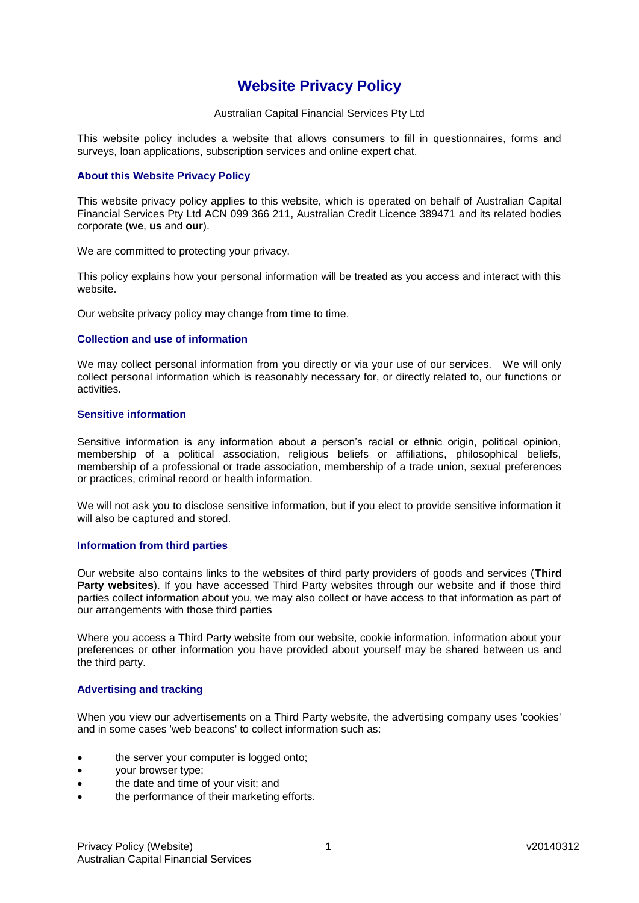# **Website Privacy Policy**

Australian Capital Financial Services Pty Ltd

This website policy includes a website that allows consumers to fill in questionnaires, forms and surveys, loan applications, subscription services and online expert chat.

# **About this Website Privacy Policy**

This website privacy policy applies to this website, which is operated on behalf of Australian Capital Financial Services Pty Ltd ACN 099 366 211, Australian Credit Licence 389471 and its related bodies corporate (**we**, **us** and **our**).

We are committed to protecting your privacy.

This policy explains how your personal information will be treated as you access and interact with this website.

Our website privacy policy may change from time to time.

## **Collection and use of information**

We may collect personal information from you directly or via your use of our services. We will only collect personal information which is reasonably necessary for, or directly related to, our functions or activities.

### **Sensitive information**

Sensitive information is any information about a person's racial or ethnic origin, political opinion, membership of a political association, religious beliefs or affiliations, philosophical beliefs, membership of a professional or trade association, membership of a trade union, sexual preferences or practices, criminal record or health information.

We will not ask you to disclose sensitive information, but if you elect to provide sensitive information it will also be captured and stored.

# **Information from third parties**

Our website also contains links to the websites of third party providers of goods and services (**Third**  Party websites). If you have accessed Third Party websites through our website and if those third parties collect information about you, we may also collect or have access to that information as part of our arrangements with those third parties

Where you access a Third Party website from our website, cookie information, information about your preferences or other information you have provided about yourself may be shared between us and the third party.

# **Advertising and tracking**

When you view our advertisements on a Third Party website, the advertising company uses 'cookies' and in some cases 'web beacons' to collect information such as:

- the server your computer is logged onto;
- your browser type;
- the date and time of your visit; and
- the performance of their marketing efforts.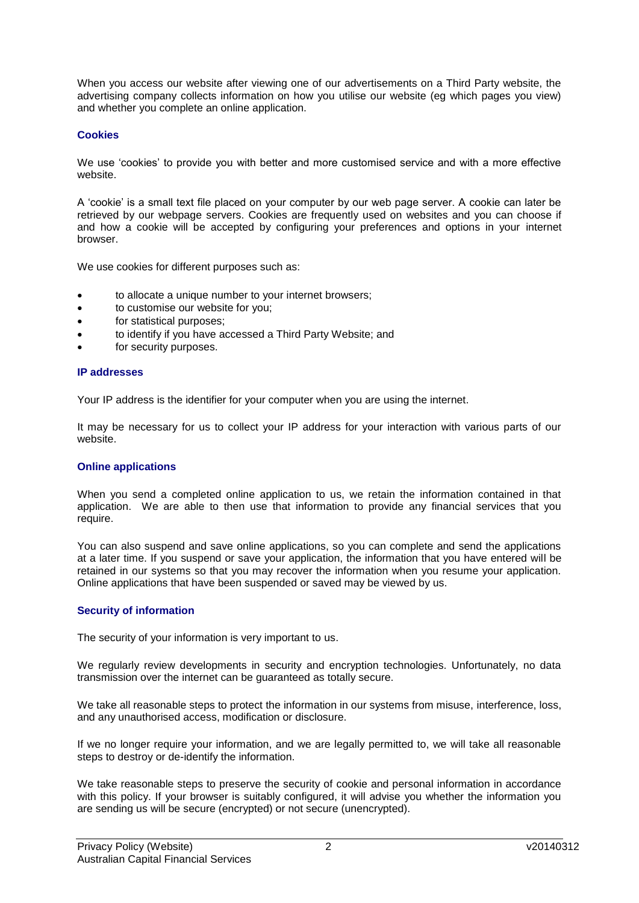When you access our website after viewing one of our advertisements on a Third Party website, the advertising company collects information on how you utilise our website (eg which pages you view) and whether you complete an online application.

# **Cookies**

We use 'cookies' to provide you with better and more customised service and with a more effective website.

A 'cookie' is a small text file placed on your computer by our web page server. A cookie can later be retrieved by our webpage servers. Cookies are frequently used on websites and you can choose if and how a cookie will be accepted by configuring your preferences and options in your internet browser.

We use cookies for different purposes such as:

- to allocate a unique number to your internet browsers;
- to customise our website for you;
- for statistical purposes;
- to identify if you have accessed a Third Party Website; and
- for security purposes.

### **IP addresses**

Your IP address is the identifier for your computer when you are using the internet.

It may be necessary for us to collect your IP address for your interaction with various parts of our website.

# **Online applications**

When you send a completed online application to us, we retain the information contained in that application. We are able to then use that information to provide any financial services that you require.

You can also suspend and save online applications, so you can complete and send the applications at a later time. If you suspend or save your application, the information that you have entered will be retained in our systems so that you may recover the information when you resume your application. Online applications that have been suspended or saved may be viewed by us.

# **Security of information**

The security of your information is very important to us.

We regularly review developments in security and encryption technologies. Unfortunately, no data transmission over the internet can be guaranteed as totally secure.

We take all reasonable steps to protect the information in our systems from misuse, interference, loss, and any unauthorised access, modification or disclosure.

If we no longer require your information, and we are legally permitted to, we will take all reasonable steps to destroy or de-identify the information.

We take reasonable steps to preserve the security of cookie and personal information in accordance with this policy. If your browser is suitably configured, it will advise you whether the information you are sending us will be secure (encrypted) or not secure (unencrypted).